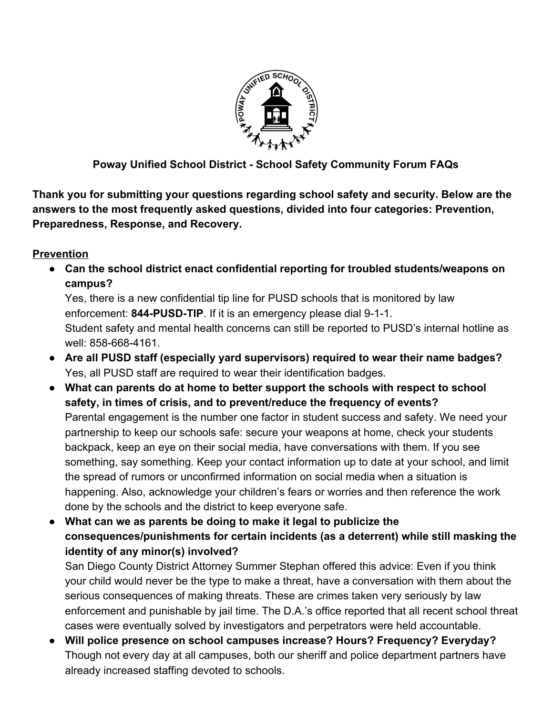

## **Poway Unified School District - School Safety Community Forum FAQs**

**Thank you for submitting your questions regarding school safety and security. Below are the answers to the most frequently asked questions, divided into four categories: Prevention, Preparedness, Response, and Recovery.**

### **Prevention**

**● Can the school district enact confidential reporting for troubled students/weapons on campus?**

Yes, there is a new confidential tip line for PUSD schools that is monitored by law enforcement: **844-PUSD-TIP**. If it is an emergency please dial 9-1-1. Student safety and mental health concerns can still be reported to PUSD's internal hotline as well: 858-668-4161.

- **● Are all PUSD staff (especially yard supervisors) required to wear their name badges?** Yes, all PUSD staff are required to wear their identification badges.
- **● What can parents do at home to better support the schools with respect to school safety, in times of crisis, and to prevent/reduce the frequency of events?** Parental engagement is the number one factor in student success and safety. We need your partnership to keep our schools safe: secure your weapons at home, check your students backpack, keep an eye on their social media, have conversations with them. If you see something, say something. Keep your contact information up to date at your school, and limit the spread of rumors or unconfirmed information on social media when a situation is happening. Also, acknowledge your children's fears or worries and then reference the work done by the schools and the district to keep everyone safe.
- **● What can we as parents be doing to make it legal to publicize the consequences/punishments for certain incidents (as a deterrent) while still masking the identity of any minor(s) involved?**

San Diego County District Attorney Summer Stephan offered this advice: Even if you think your child would never be the type to make a threat, have a conversation with them about the serious consequences of making threats. These are crimes taken very seriously by law enforcement and punishable by jail time. The D.A.'s office reported that all recent school threat cases were eventually solved by investigators and perpetrators were held accountable.

**● Will police presence on school campuses increase? Hours? Frequency? Everyday?** Though not every day at all campuses, both our sheriff and police department partners have already increased staffing devoted to schools.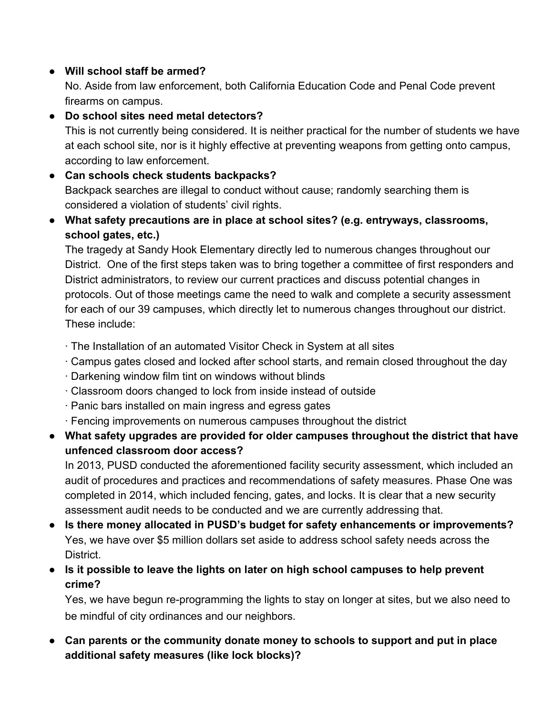# **● Will school staff be armed?**

No. Aside from law enforcement, both California Education Code and Penal Code prevent firearms on campus.

## **● Do school sites need metal detectors?**

This is not currently being considered. It is neither practical for the number of students we have at each school site, nor is it highly effective at preventing weapons from getting onto campus, according to law enforcement.

- **● Can schools check students backpacks?** Backpack searches are illegal to conduct without cause; randomly searching them is considered a violation of students' civil rights.
- **What safety precautions are in place at school sites? (e.g. entryways, classrooms, school gates, etc.)**

The tragedy at Sandy Hook Elementary directly led to numerous changes throughout our District. One of the first steps taken was to bring together a committee of first responders and District administrators, to review our current practices and discuss potential changes in protocols. Out of those meetings came the need to walk and complete a security assessment for each of our 39 campuses, which directly let to numerous changes throughout our district. These include:

- · The Installation of an automated Visitor Check in System at all sites
- · Campus gates closed and locked after school starts, and remain closed throughout the day
- · Darkening window film tint on windows without blinds
- · Classroom doors changed to lock from inside instead of outside
- · Panic bars installed on main ingress and egress gates
- · Fencing improvements on numerous campuses throughout the district
- **● What safety upgrades are provided for older campuses throughout the district that have unfenced classroom door access?**

In 2013, PUSD conducted the aforementioned facility security assessment, which included an audit of procedures and practices and recommendations of safety measures. Phase One was completed in 2014, which included fencing, gates, and locks. It is clear that a new security assessment audit needs to be conducted and we are currently addressing that.

- **● Is there money allocated in PUSD's budget for safety enhancements or improvements?** Yes, we have over \$5 million dollars set aside to address school safety needs across the District.
- **● Is it possible to leave the lights on later on high school campuses to help prevent crime?**

Yes, we have begun re-programming the lights to stay on longer at sites, but we also need to be mindful of city ordinances and our neighbors.

**● Can parents or the community donate money to schools to support and put in place additional safety measures (like lock blocks)?**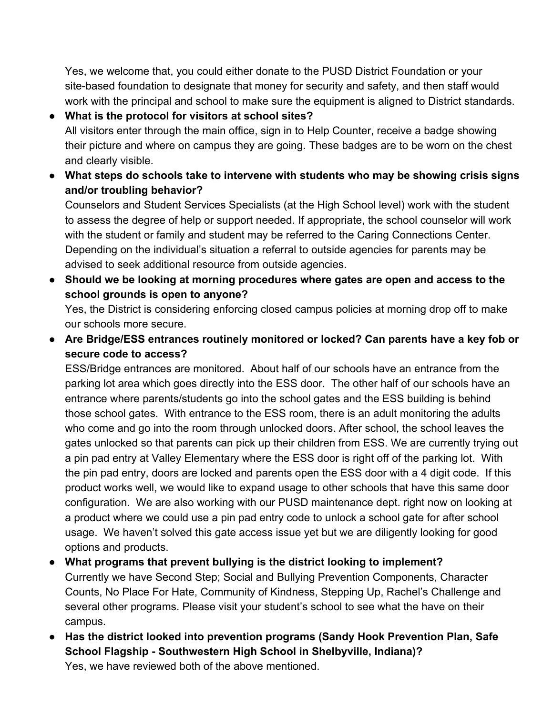Yes, we welcome that, you could either donate to the PUSD District Foundation or your site-based foundation to designate that money for security and safety, and then staff would work with the principal and school to make sure the equipment is aligned to District standards.

**● What is the protocol for visitors at school sites?** All visitors enter through the main office, sign in to Help Counter, receive a badge showing their picture and where on campus they are going. These badges are to be worn on the chest and clearly visible.

**● What steps do schools take to intervene with students who may be showing crisis signs and/or troubling behavior?**

Counselors and Student Services Specialists (at the High School level) work with the student to assess the degree of help or support needed. If appropriate, the school counselor will work with the student or family and student may be referred to the Caring Connections Center. Depending on the individual's situation a referral to outside agencies for parents may be advised to seek additional resource from outside agencies.

**● Should we be looking at morning procedures where gates are open and access to the school grounds is open to anyone?** Yes, the District is considering enforcing closed campus policies at morning drop off to make

our schools more secure.

● **Are Bridge/ESS entrances routinely monitored or locked? Can parents have a key fob or secure code to access?**

ESS/Bridge entrances are monitored. About half of our schools have an entrance from the parking lot area which goes directly into the ESS door. The other half of our schools have an entrance where parents/students go into the school gates and the ESS building is behind those school gates. With entrance to the ESS room, there is an adult monitoring the adults who come and go into the room through unlocked doors. After school, the school leaves the gates unlocked so that parents can pick up their children from ESS. We are currently trying out a pin pad entry at Valley Elementary where the ESS door is right off of the parking lot. With the pin pad entry, doors are locked and parents open the ESS door with a 4 digit code. If this product works well, we would like to expand usage to other schools that have this same door configuration. We are also working with our PUSD maintenance dept. right now on looking at a product where we could use a pin pad entry code to unlock a school gate for after school usage. We haven't solved this gate access issue yet but we are diligently looking for good options and products.

- **What programs that prevent bullying is the district looking to implement?** Currently we have Second Step; Social and Bullying Prevention Components, Character Counts, No Place For Hate, Community of Kindness, Stepping Up, Rachel's Challenge and several other programs. Please visit your student's school to see what the have on their campus.
- **Has the district looked into prevention programs (Sandy Hook Prevention Plan, Safe School Flagship - Southwestern High School in Shelbyville, Indiana)?** Yes, we have reviewed both of the above mentioned.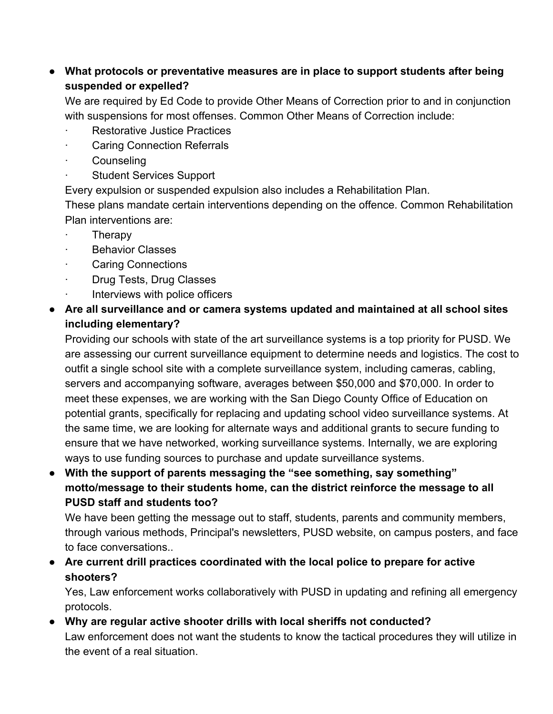## **● What protocols or preventative measures are in place to support students after being suspended or expelled?**

We are required by Ed Code to provide Other Means of Correction prior to and in conjunction with suspensions for most offenses. Common Other Means of Correction include:

- **Restorative Justice Practices**
- **Caring Connection Referrals**
- **Counseling**
- **Student Services Support**

Every expulsion or suspended expulsion also includes a Rehabilitation Plan.

These plans mandate certain interventions depending on the offence. Common Rehabilitation Plan interventions are:

- · Therapy
- **Behavior Classes**
- Caring Connections
- · Drug Tests, Drug Classes
- Interviews with police officers
- **Are all surveillance and or camera systems updated and maintained at all school sites including elementary?**

Providing our schools with state of the art surveillance systems is a top priority for PUSD. We are assessing our current surveillance equipment to determine needs and logistics. The cost to outfit a single school site with a complete surveillance system, including cameras, cabling, servers and accompanying software, averages between \$50,000 and \$70,000. In order to meet these expenses, we are working with the San Diego County Office of Education on potential grants, specifically for replacing and updating school video surveillance systems. At the same time, we are looking for alternate ways and additional grants to secure funding to ensure that we have networked, working surveillance systems. Internally, we are exploring ways to use funding sources to purchase and update surveillance systems.

● **With the support of parents messaging the "see something, say something" motto/message to their students home, can the district reinforce the message to all PUSD staff and students too?**

We have been getting the message out to staff, students, parents and community members, through various methods, Principal's newsletters, PUSD website, on campus posters, and face to face conversations..

**● Are current drill practices coordinated with the local police to prepare for active shooters?**

Yes, Law enforcement works collaboratively with PUSD in updating and refining all emergency protocols.

**● Why are regular active shooter drills with local sheriffs not conducted?** Law enforcement does not want the students to know the tactical procedures they will utilize in the event of a real situation.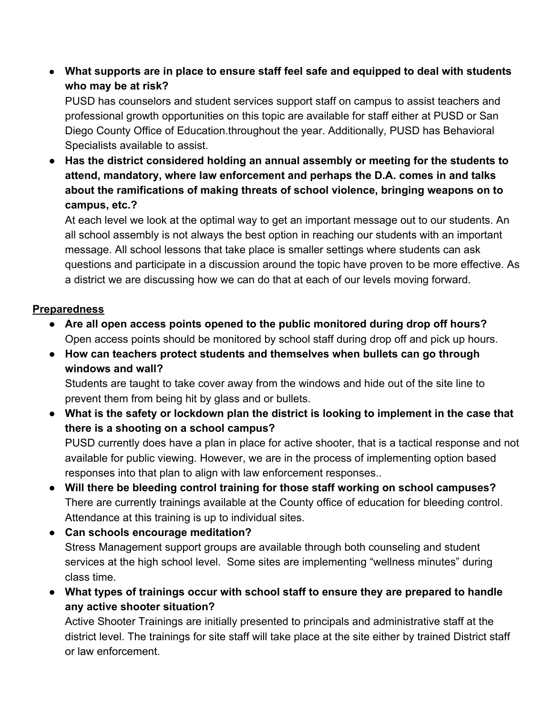**● What supports are in place to ensure staff feel safe and equipped to deal with students who may be at risk?**

PUSD has counselors and student services support staff on campus to assist teachers and professional growth opportunities on this topic are available for staff either at PUSD or San Diego County Office of Education.throughout the year. Additionally, PUSD has Behavioral Specialists available to assist.

**● Has the district considered holding an annual assembly or meeting for the students to attend, mandatory, where law enforcement and perhaps the D.A. comes in and talks about the ramifications of making threats of school violence, bringing weapons on to campus, etc.?**

At each level we look at the optimal way to get an important message out to our students. An all school assembly is not always the best option in reaching our students with an important message. All school lessons that take place is smaller settings where students can ask questions and participate in a discussion around the topic have proven to be more effective. As a district we are discussing how we can do that at each of our levels moving forward.

# **Preparedness**

- **● Are all open access points opened to the public monitored during drop off hours?** Open access points should be monitored by school staff during drop off and pick up hours.
- **● How can teachers protect students and themselves when bullets can go through windows and wall?**

Students are taught to take cover away from the windows and hide out of the site line to prevent them from being hit by glass and or bullets.

**● What is the safety or lockdown plan the district is looking to implement in the case that there is a shooting on a school campus?**

PUSD currently does have a plan in place for active shooter, that is a tactical response and not available for public viewing. However, we are in the process of implementing option based responses into that plan to align with law enforcement responses..

- **Will there be bleeding control training for those staff working on school campuses?** There are currently trainings available at the County office of education for bleeding control. Attendance at this training is up to individual sites.
- **● Can schools encourage meditation?** Stress Management support groups are available through both counseling and student services at the high school level. Some sites are implementing "wellness minutes" during class time.
- **● What types of trainings occur with school staff to ensure they are prepared to handle any active shooter situation?**

Active Shooter Trainings are initially presented to principals and administrative staff at the district level. The trainings for site staff will take place at the site either by trained District staff or law enforcement.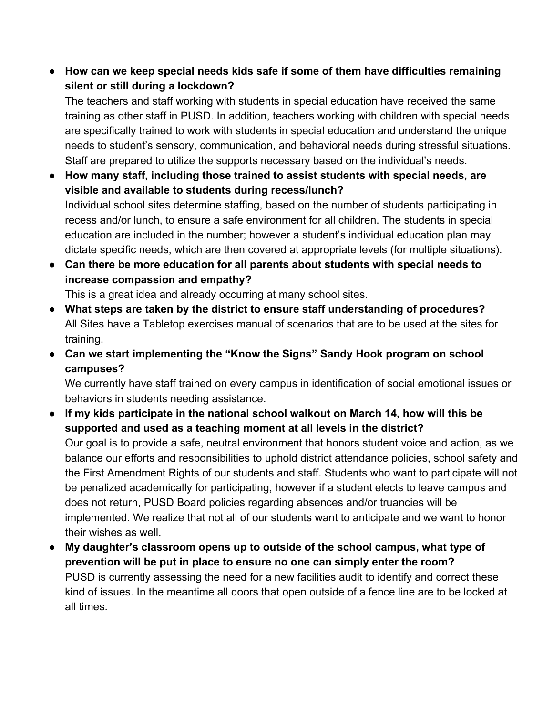**● How can we keep special needs kids safe if some of them have difficulties remaining silent or still during a lockdown?**

The teachers and staff working with students in special education have received the same training as other staff in PUSD. In addition, teachers working with children with special needs are specifically trained to work with students in special education and understand the unique needs to student's sensory, communication, and behavioral needs during stressful situations. Staff are prepared to utilize the supports necessary based on the individual's needs.

- **● How many staff, including those trained to assist students with special needs, are visible and available to students during recess/lunch?** Individual school sites determine staffing, based on the number of students participating in recess and/or lunch, to ensure a safe environment for all children. The students in special education are included in the number; however a student's individual education plan may dictate specific needs, which are then covered at appropriate levels (for multiple situations).
- **● Can there be more education for all parents about students with special needs to increase compassion and empathy?**

This is a great idea and already occurring at many school sites.

- **What steps are taken by the district to ensure staff understanding of procedures?** All Sites have a Tabletop exercises manual of scenarios that are to be used at the sites for training.
- **Can we start implementing the "Know the Signs" Sandy Hook program on school campuses?**

We currently have staff trained on every campus in identification of social emotional issues or behaviors in students needing assistance.

- **● If my kids participate in the national school walkout on March 14, how will this be supported and used as a teaching moment at all levels in the district?** Our goal is to provide a safe, neutral environment that honors student voice and action, as we balance our efforts and responsibilities to uphold district attendance policies, school safety and the First Amendment Rights of our students and staff. Students who want to participate will not be penalized academically for participating, however if a student elects to leave campus and does not return, PUSD Board policies regarding absences and/or truancies will be implemented. We realize that not all of our students want to anticipate and we want to honor their wishes as well.
- **● My daughter's classroom opens up to outside of the school campus, what type of prevention will be put in place to ensure no one can simply enter the room?** PUSD is currently assessing the need for a new facilities audit to identify and correct these kind of issues. In the meantime all doors that open outside of a fence line are to be locked at all times.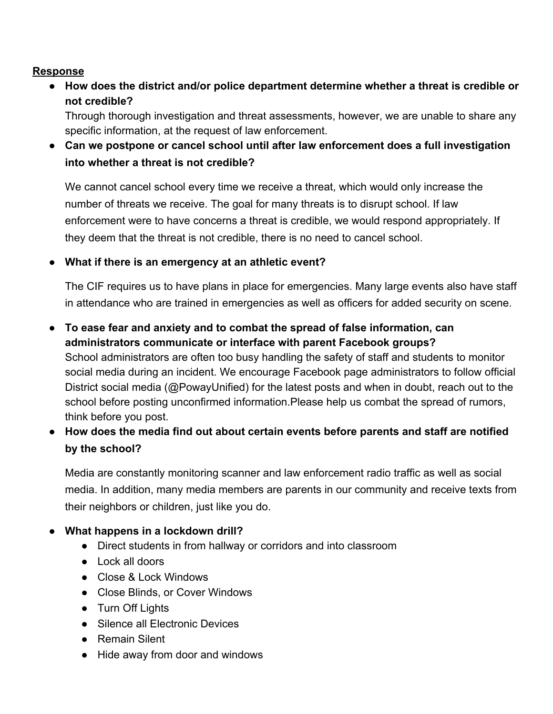#### **Response**

**● How does the district and/or police department determine whether a threat is credible or not credible?**

Through thorough investigation and threat assessments, however, we are unable to share any specific information, at the request of law enforcement.

● **Can we postpone or cancel school until after law enforcement does a full investigation into whether a threat is not credible?**

We cannot cancel school every time we receive a threat, which would only increase the number of threats we receive. The goal for many threats is to disrupt school. If law enforcement were to have concerns a threat is credible, we would respond appropriately. If they deem that the threat is not credible, there is no need to cancel school.

### ● **What if there is an emergency at an athletic event?**

The CIF requires us to have plans in place for emergencies. Many large events also have staff in attendance who are trained in emergencies as well as officers for added security on scene.

- **● To ease fear and anxiety and to combat the spread of false information, can administrators communicate or interface with parent Facebook groups?** School administrators are often too busy handling the safety of staff and students to monitor social media during an incident. We encourage Facebook page administrators to follow official District social media (@PowayUnified) for the latest posts and when in doubt, reach out to the school before posting unconfirmed information.Please help us combat the spread of rumors, think before you post.
- **● How does the media find out about certain events before parents and staff are notified by the school?**

Media are constantly monitoring scanner and law enforcement radio traffic as well as social media. In addition, many media members are parents in our community and receive texts from their neighbors or children, just like you do.

## **● What happens in a lockdown drill?**

- Direct students in from hallway or corridors and into classroom
- Lock all doors
- Close & Lock Windows
- Close Blinds, or Cover Windows
- Turn Off Lights
- Silence all Electronic Devices
- Remain Silent
- Hide away from door and windows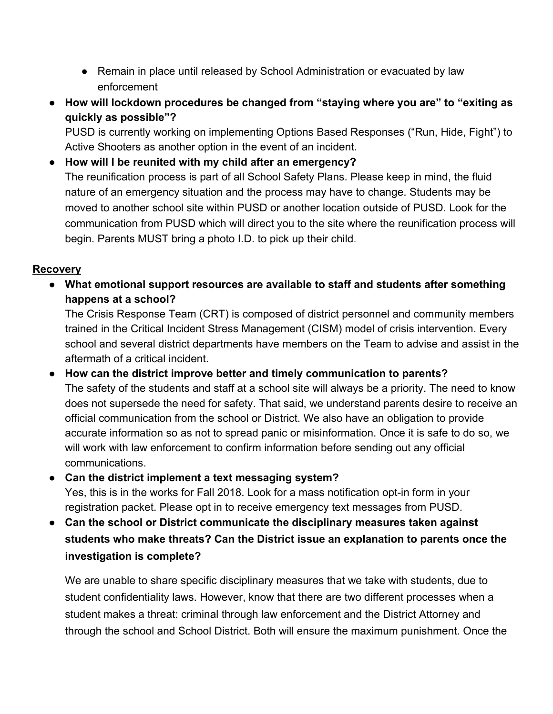- Remain in place until released by School Administration or evacuated by law enforcement
- **● How will lockdown procedures be changed from "staying where you are" to "exiting as quickly as possible"?**

PUSD is currently working on implementing Options Based Responses ("Run, Hide, Fight") to Active Shooters as another option in the event of an incident.

**● How will I be reunited with my child after an emergency?**

The reunification process is part of all School Safety Plans. Please keep in mind, the fluid nature of an emergency situation and the process may have to change. Students may be moved to another school site within PUSD or another location outside of PUSD. Look for the communication from PUSD which will direct you to the site where the reunification process will begin. Parents MUST bring a photo I.D. to pick up their child.

## **Recovery**

**● What emotional support resources are available to staff and students after something happens at a school?**

The Crisis Response Team (CRT) is composed of district personnel and community members trained in the Critical Incident Stress Management (CISM) model of crisis intervention. Every school and several district departments have members on the Team to advise and assist in the aftermath of a critical incident.

- **● How can the district improve better and timely communication to parents?** The safety of the students and staff at a school site will always be a priority. The need to know does not supersede the need for safety. That said, we understand parents desire to receive an official communication from the school or District. We also have an obligation to provide accurate information so as not to spread panic or misinformation. Once it is safe to do so, we will work with law enforcement to confirm information before sending out any official communications.
- **● Can the district implement a text messaging system?** Yes, this is in the works for Fall 2018. Look for a mass notification opt-in form in your registration packet. Please opt in to receive emergency text messages from PUSD.
- **Can the school or District communicate the disciplinary measures taken against students who make threats? Can the District issue an explanation to parents once the investigation is complete?**

We are unable to share specific disciplinary measures that we take with students, due to student confidentiality laws. However, know that there are two different processes when a student makes a threat: criminal through law enforcement and the District Attorney and through the school and School District. Both will ensure the maximum punishment. Once the